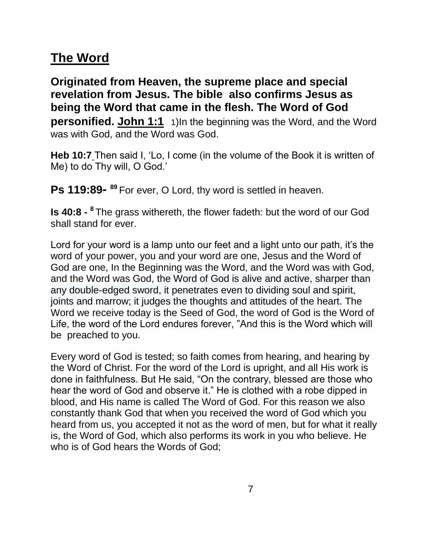## **The Word**

**Originated from Heaven, the supreme place and special revelation from Jesus. The bible also confirms Jesus as being the Word that came in the flesh. The Word of God personified. John 1:1** 1)In the beginning was the Word, and the Word was with God, and the Word was God.

**Heb 10:7** Then said I, 'Lo, I come (in the volume of the Book it is written of Me) to do Thy will, O God.'

Ps 119:89-<sup>89</sup> For ever, O Lord, thy word is settled in heaven.

**Is 40:8 - 8** The grass withereth, the flower fadeth: but the word of our God shall stand for ever.

Lord for your word is a lamp unto our feet and a light unto our path, it's the word of your power, you and your word are one, Jesus and the Word of God are one, In the Beginning was the Word, and the Word was with God, and the Word was God, the Word of God is alive and active, sharper than any double-edged sword, it penetrates even to dividing soul and spirit, joints and marrow; it judges the thoughts and attitudes of the heart. The Word we receive today is the Seed of God, the word of God is the Word of Life, the word of the Lord endures forever, "And this is the Word which will be preached to you.

Every word of God is tested; so faith comes from hearing, and hearing by the Word of Christ. For the word of the Lord is upright, and all His work is done in faithfulness. But He said, "On the contrary, blessed are those who hear the word of God and observe it." He is clothed with a robe dipped in blood, and His name is called The Word of God. For this reason we also constantly thank God that when you received the word of God which you heard from us, you accepted it not as the word of men, but for what it really is, the Word of God, which also performs its work in you who believe. He who is of God hears the Words of God;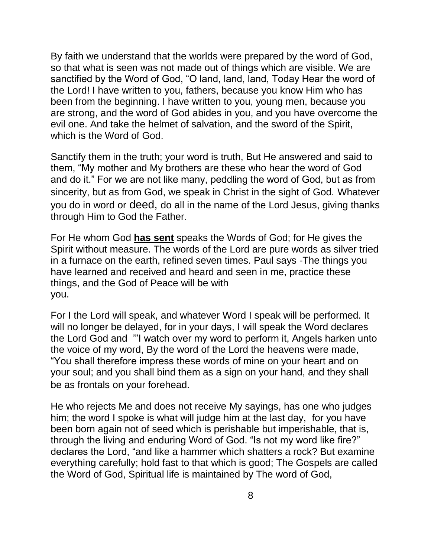By faith we understand that the worlds were prepared by the word of God, so that what is seen was not made out of things which are visible. We are sanctified by the Word of God, "O land, land, land, Today Hear the word of the Lord! I have written to you, fathers, because you know Him who has been from the beginning. I have written to you, young men, because you are strong, and the word of God abides in you, and you have overcome the evil one. And take the helmet of salvation, and the sword of the Spirit, which is the Word of God.

Sanctify them in the truth; your word is truth, But He answered and said to them, "My mother and My brothers are these who hear the word of God and do it." For we are not like many, peddling the word of God, but as from sincerity, but as from God, we speak in Christ in the sight of God. Whatever you do in word or deed, do all in the name of the Lord Jesus, giving thanks through Him to God the Father.

For He whom God **has sent** speaks the Words of God; for He gives the Spirit without measure. The words of the Lord are pure words as silver tried in a furnace on the earth, refined seven times. Paul says -The things you have learned and received and heard and seen in me, practice these things, and the God of Peace will be with you.

For I the Lord will speak, and whatever Word I speak will be performed. It will no longer be delayed, for in your days, I will speak the Word declares the Lord God and '"I watch over my word to perform it, Angels harken unto the voice of my word, By the word of the Lord the heavens were made, "You shall therefore impress these words of mine on your heart and on your soul; and you shall bind them as a sign on your hand, and they shall be as frontals on your forehead.

He who rejects Me and does not receive My sayings, has one who judges him; the word I spoke is what will judge him at the last day, for you have been born again not of seed which is perishable but imperishable, that is, through the living and enduring Word of God. "Is not my word like fire?" declares the Lord, "and like a hammer which shatters a rock? But examine everything carefully; hold fast to that which is good; The Gospels are called the Word of God, Spiritual life is maintained by The word of God,